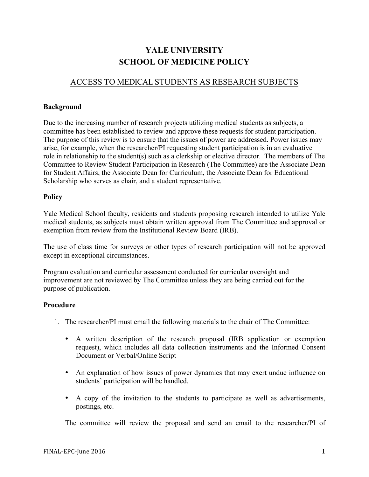# **YALE UNIVERSITY SCHOOL OF MEDICINE POLICY**

## ACCESS TO MEDICAL STUDENTS AS RESEARCH SUBJECTS

#### **Background**

Due to the increasing number of research projects utilizing medical students as subjects, a committee has been established to review and approve these requests for student participation. The purpose of this review is to ensure that the issues of power are addressed. Power issues may arise, for example, when the researcher/PI requesting student participation is in an evaluative role in relationship to the student(s) such as a clerkship or elective director. The members of The Committee to Review Student Participation in Research (The Committee) are the Associate Dean for Student Affairs, the Associate Dean for Curriculum, the Associate Dean for Educational Scholarship who serves as chair, and a student representative.

#### **Policy**

Yale Medical School faculty, residents and students proposing research intended to utilize Yale medical students, as subjects must obtain written approval from The Committee and approval or exemption from review from the Institutional Review Board (IRB).

The use of class time for surveys or other types of research participation will not be approved except in exceptional circumstances.

Program evaluation and curricular assessment conducted for curricular oversight and improvement are not reviewed by The Committee unless they are being carried out for the purpose of publication.

### **Procedure**

- 1. The researcher/PI must email the following materials to the chair of The Committee:
	- A written description of the research proposal (IRB application or exemption request), which includes all data collection instruments and the Informed Consent Document or Verbal/Online Script
	- An explanation of how issues of power dynamics that may exert undue influence on students' participation will be handled.
	- A copy of the invitation to the students to participate as well as advertisements, postings, etc.

The committee will review the proposal and send an email to the researcher/PI of